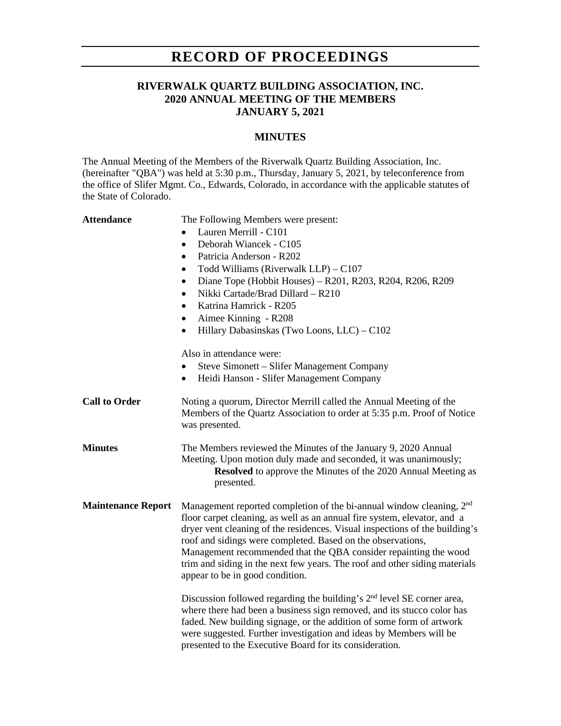# **RECORD OF PROCEEDINGS**

## **RIVERWALK QUARTZ BUILDING ASSOCIATION, INC. 2020 ANNUAL MEETING OF THE MEMBERS JANUARY 5, 2021**

### **MINUTES**

The Annual Meeting of the Members of the Riverwalk Quartz Building Association, Inc. (hereinafter "QBA") was held at 5:30 p.m., Thursday, January 5, 2021, by teleconference from the office of Slifer Mgmt. Co., Edwards, Colorado, in accordance with the applicable statutes of the State of Colorado.

| <b>Attendance</b> |
|-------------------|
|-------------------|

The Following Members were present:

- Lauren Merrill C101
- Deborah Wiancek C105
- Patricia Anderson R202
- Todd Williams (Riverwalk LLP) C107
- Diane Tope (Hobbit Houses) R201, R203, R204, R206, R209
- Nikki Cartade/Brad Dillard R210
- Katrina Hamrick R205
- Aimee Kinning R208
- Hillary Dabasinskas (Two Loons, LLC) C102

Also in attendance were:

- Steve Simonett Slifer Management Company
- Heidi Hanson Slifer Management Company
- **Call to Order** Noting a quorum, Director Merrill called the Annual Meeting of the Members of the Quartz Association to order at 5:35 p.m. Proof of Notice was presented.
- **Minutes** The Members reviewed the Minutes of the January 9, 2020 Annual Meeting. Upon motion duly made and seconded, it was unanimously; **Resolved** to approve the Minutes of the 2020 Annual Meeting as presented.
- **Maintenance Report** Management reported completion of the bi-annual window cleaning, 2nd floor carpet cleaning, as well as an annual fire system, elevator, and a dryer vent cleaning of the residences. Visual inspections of the building's roof and sidings were completed. Based on the observations, Management recommended that the QBA consider repainting the wood trim and siding in the next few years. The roof and other siding materials appear to be in good condition.

Discussion followed regarding the building's  $2<sup>nd</sup>$  level SE corner area, where there had been a business sign removed, and its stucco color has faded. New building signage, or the addition of some form of artwork were suggested. Further investigation and ideas by Members will be presented to the Executive Board for its consideration.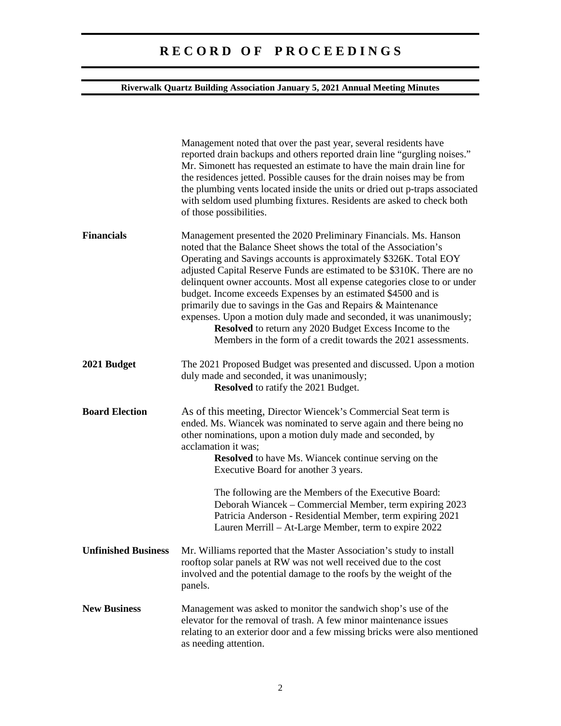# **R E C O R D O F P R O C E E D I N G S**

## **Riverwalk Quartz Building Association January 5, 2021 Annual Meeting Minutes**

|                            | Management noted that over the past year, several residents have<br>reported drain backups and others reported drain line "gurgling noises."<br>Mr. Simonett has requested an estimate to have the main drain line for<br>the residences jetted. Possible causes for the drain noises may be from<br>the plumbing vents located inside the units or dried out p-traps associated<br>with seldom used plumbing fixtures. Residents are asked to check both<br>of those possibilities.                                                                                                                                                                                                                   |
|----------------------------|--------------------------------------------------------------------------------------------------------------------------------------------------------------------------------------------------------------------------------------------------------------------------------------------------------------------------------------------------------------------------------------------------------------------------------------------------------------------------------------------------------------------------------------------------------------------------------------------------------------------------------------------------------------------------------------------------------|
| <b>Financials</b>          | Management presented the 2020 Preliminary Financials. Ms. Hanson<br>noted that the Balance Sheet shows the total of the Association's<br>Operating and Savings accounts is approximately \$326K. Total EOY<br>adjusted Capital Reserve Funds are estimated to be \$310K. There are no<br>delinquent owner accounts. Most all expense categories close to or under<br>budget. Income exceeds Expenses by an estimated \$4500 and is<br>primarily due to savings in the Gas and Repairs & Maintenance<br>expenses. Upon a motion duly made and seconded, it was unanimously;<br>Resolved to return any 2020 Budget Excess Income to the<br>Members in the form of a credit towards the 2021 assessments. |
| 2021 Budget                | The 2021 Proposed Budget was presented and discussed. Upon a motion<br>duly made and seconded, it was unanimously;<br><b>Resolved</b> to ratify the 2021 Budget.                                                                                                                                                                                                                                                                                                                                                                                                                                                                                                                                       |
| <b>Board Election</b>      | As of this meeting, Director Wiencek's Commercial Seat term is<br>ended. Ms. Wiancek was nominated to serve again and there being no<br>other nominations, upon a motion duly made and seconded, by<br>acclamation it was;<br><b>Resolved</b> to have Ms. Wiancek continue serving on the<br>Executive Board for another 3 years.                                                                                                                                                                                                                                                                                                                                                                      |
|                            | The following are the Members of the Executive Board:<br>Deborah Wiancek - Commercial Member, term expiring 2023<br>Patricia Anderson - Residential Member, term expiring 2021<br>Lauren Merrill - At-Large Member, term to expire 2022                                                                                                                                                                                                                                                                                                                                                                                                                                                                |
| <b>Unfinished Business</b> | Mr. Williams reported that the Master Association's study to install<br>rooftop solar panels at RW was not well received due to the cost<br>involved and the potential damage to the roofs by the weight of the<br>panels.                                                                                                                                                                                                                                                                                                                                                                                                                                                                             |
| <b>New Business</b>        | Management was asked to monitor the sandwich shop's use of the<br>elevator for the removal of trash. A few minor maintenance issues<br>relating to an exterior door and a few missing bricks were also mentioned<br>as needing attention.                                                                                                                                                                                                                                                                                                                                                                                                                                                              |